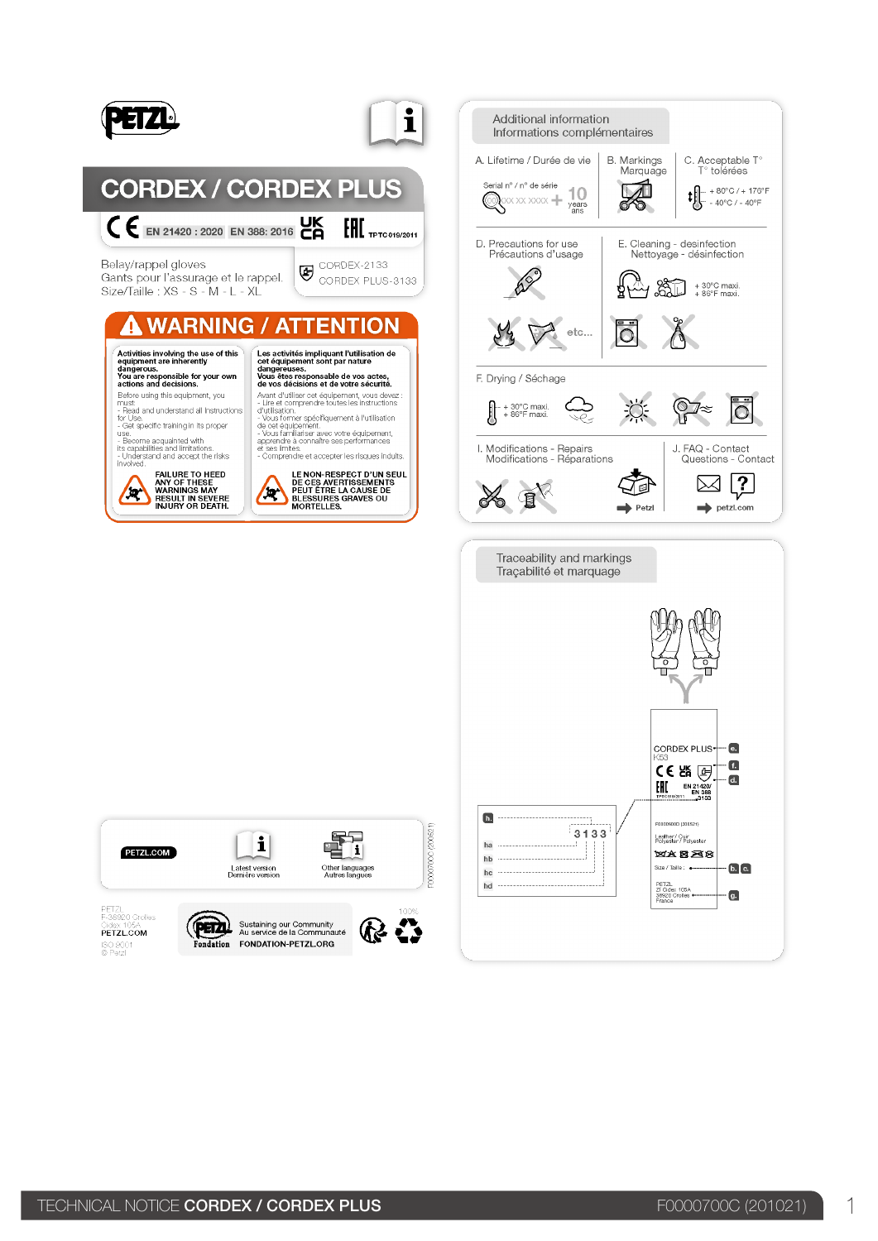

PETZL COM ISO 9001<br>© Petzl

Sustaining our Community FONDATION-PETZL.ORG Fondation

 $\Omega$   $\Omega$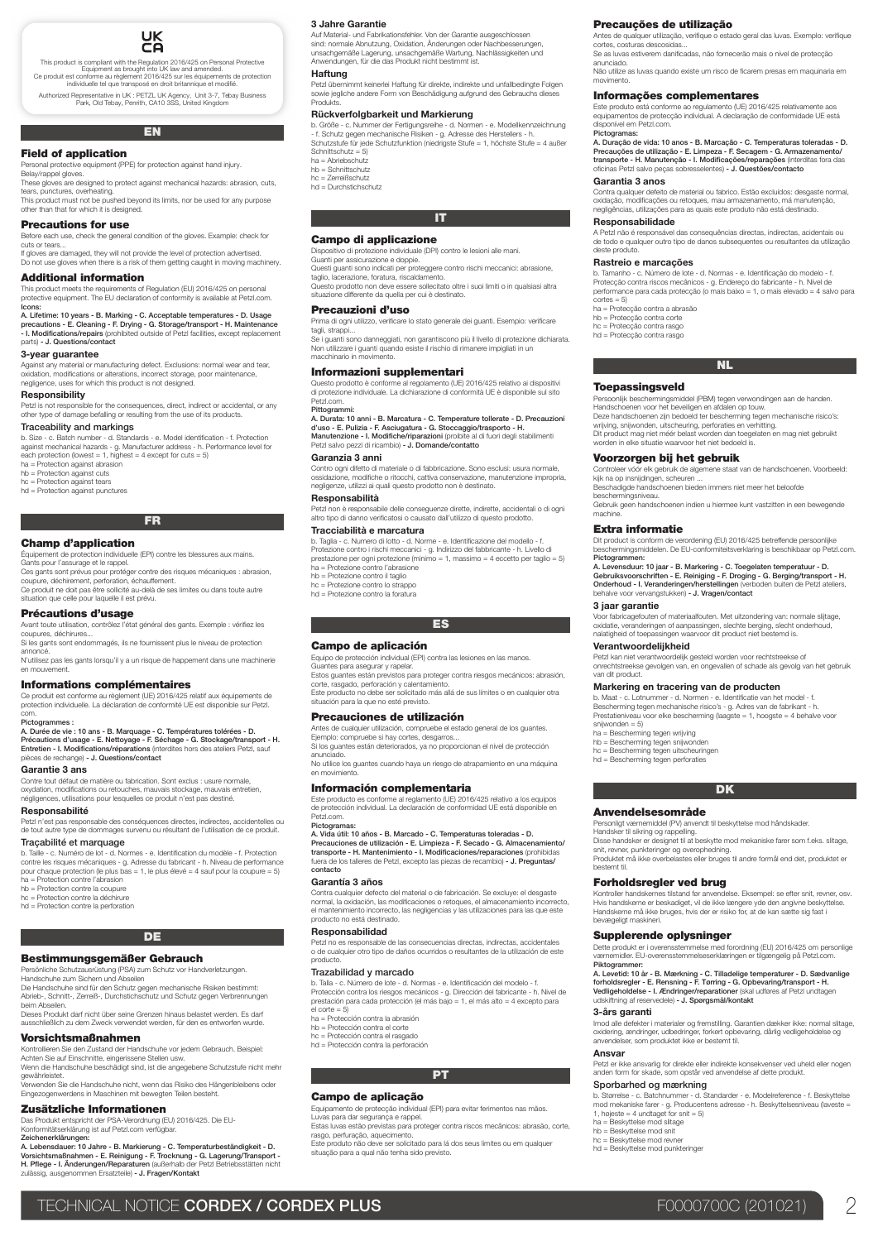

This product is compliant with the Regulation 2016/425 on Personal Protective<br>Equipment as brought into UK law and amended.<br>Ce produit est conforme au règlement 2016/425 sur les équipements de protection<br>individuelle tel q

Authorized Representative in UK : PETZL UK Agency, Unit 3-7, Tebay Business Park, Old Tebay, Penrith, CA10 3SS, United Kingdom

# EN

# Field of application

Personal protective equipment (PPE) for protection against hand injury. Belay/rappel gloves.

These gloves are designed to protect against mechanical hazards: abrasion, cuts, tears, punctures, overheating. This product must not be pushed beyond its limits, nor be used for any purpose

This product made not be pumped only to

# Precautions for use

Before each use, check the general condition of the gloves. Example: check for cuts or tears. If gloves are damaged, they will not provide the level of protection advertised. Do not use gloves when there is a risk of them getting caught in moving machinery.

# Additional information

This product meets the requirements of Regulation (EU) 2016/425 on personal protective equipment. The EU declaration of conformity is available at Petzl.com.

Icons: A. Lifetime: 10 years - B. Marking - C. Acceptable temperatures - D. Usage precautions - E. Cleaning - F. Drying - G. Storage/transport - H. Maintenance<br>- I. Modifications/repairs (prohibited outside of Petzl facilities, except replacement parts) - J. Questions/contact

# 3-year guarantee

Against any material or manufacturing defect. Exclusions: normal wear and tear, oxidation, modifications or alterations, incorrect storage, poor maintenance, negligence, uses for which this product is not designed.

#### Responsibility

Petzl is not responsible for the consequences, direct, indirect or accidental, or any other type of damage befalling or resulting from the use of its products. Traceability and markings

b. Size - c. Batch number - d. Standards - e. Model identification - f. Protection<br>against mechanical hazards - g. Manufacturer address - h. Performance level for<br>each protection (lowest = 1, highest = 4 except for cuts =

ha = Protection against abrasion hb = Protection against cuts

hc = Protection against tears hd = Protection against punctures

# FR

#### Champ d'application

Équipement de protection individuelle (EPI) contre les blessures aux mains. Gants pour l'assurage et le rappel.

Ces gants sont prévus pour protéger contre des risques mécaniques : abrasion, coupure, déchirement, perforation, échauffement. Ce produit ne doit pas être sollicité au-delà de ses limites ou dans toute autre

situation que celle pour laquelle il est prévu.

# Précautions d'usage

Avant toute utilisation, contrôlez l'état général des gants. Exemple : vérifiez les coupures, déchirures... Si les gants sont endommagés, ils ne fournissent plus le niveau de protection

annoncé. N'utilisez pas les gants lorsqu'il y a un risque de happement dans une machinerie

en mouvement.

### Informations complémentaires

Ce produit est conforme au règlement (UE) 2016/425 relatif aux équipements de protection individuelle. La déclaration de conformité UE est disponible sur Petzl. .<br>com. Pictogrammes :

A. Durée de vie : 10 ans - B. Marquage - C. Températures tolérées - D.<br>Précautions d'usage - E. Nettoyage - F. Séchage - G. Stockage/transport - H.<br>Entretien - I. Modifications/réparations (interdites hors des ateliers Pet

Garantie 3 ans Contre tout défaut de matière ou fabrication. Sont exclus : usure normale,<br>oxydation, modifications ou retouches, mauvais stockage, mauvais entretien,<br>négligences, utilisations pour lesquelles ce produit n'est pas destiné.

#### Responsabilité

Petzl n'est pas responsable des conséquences directes, indirectes, accidentelles ou de tout autre type de dommages survenu ou résultant de l'utilisation de ce produit.

#### Traçabilité et marquage

b. Taille - c. Numéro de lot - d. Normes - e. Identification du modèle - f. Protection contre les risques mécaniques - g. Adresse du fabricant - h. Niveau de performance pour chaque protection (le plus bas = 1, le plus élevé = 4 sauf pour la coupure = 5) ha = Protection contre l'abrasion

hb = Protection contre la coupure hc = Protection contre la déchirure hd = Protection contre la perforation

# **DE**

# Bestimmungsgemäßer Gebrauch

Persönliche Schutzausrüstung (PSA) zum Schutz vor Handverletzungen. Handschuhe zum Sichern und Abseilen

Die Handschuhe sind für den Schutz gegen mechanische Risiken bestimmt: Abrieb-, Schnitt-, Zerreiß-, Durchstichschutz und Schutz gegen Verbrennungen beim Al

Dieses Produkt darf nicht über seine Grenzen hinaus belastet werden. Es darf ausschließlich zu dem Zweck verwendet werden, für den es entworfen wurde.

# Vorsichtsmaßnahmen

Kontrollieren Sie den Zustand der Handschuhe vor jedem Gebrauch. Beispiel:<br>Achten Sie auf Einschnitte, eingerissene Stellen usw.<br>Wenn die Handschuhe beschädigt sind, ist die angegebene Schutzstufe nicht mehr gewährleiste

Verwenden Sie die Handschuhe nicht, wenn das Risiko des Hängenbleibens oder Eingezogenwerdens in Maschinen mit bewegten Teilen besteht.

# Zusätzliche Informationen

Das Produkt entspricht der PSA-Verordnung (EU) 2016/425. Die EU-Konformitätserklärung ist auf Petzl.com verfügbar.

Zeichenerklärungen:<br>A. Lebensdauer: 10 Jahre - B. Markierung - C. Temperaturbeständigkeit - D.<br>Vorsichtsmaßnahmen - E. Reinigung - F. Trocknung - G. Lagerung/Transport -**H. Pflege - I. Änderungen/Reparaturen** (außerhalb der Petzl Betriebsstätten nicht<br>zulässig, ausgenommen Ersatzteile) **- J. Fragen/Kontakt** 

# 3 Jahre Garantie

Auf Material- und Fabrikationsfehler. Von der Garantie ausgeschlossen sind: normale Abnutzung, Oxidation, Anderungen oder Nachbesserungen,<br>unsachgemäße Lagerung, unsachgemäße Wartung, Nachlässigkeiten und<br>Anwendungen, für die das Produkt nicht bestimmt ist.

### Haftung

Petzl übernimmt keinerlei Haftung für direkte, indirekte und unfallbedingte Folgen sowie jegliche andere Form von Beschädigung aufgrund des Gebrauchs die Produkts.

Precauções de utilização

Informações complementares

movimento.

Pictogramas:

deste produto.

cortes = 5)

machine.

3 jaar garantie

ha = Bescherming tegen wrijving hb = Bescherming tegen snijwonden hc = Bescherming tegen uitscheuringen hd = Bescherming tegen perforaties

Anvendelsesområde

Forholdsregler ved brug

Supplerende oplysninger

Sporbarhed og mærkning

ha = Beskyttelse mod slitage hb = Beskyttelse mod snit hc = Beskyttelse mod revner hd = Beskyttelse mod punkteringer

bestemt til.

bevægeligt maskineri.

Piktogrammer:

3-års garanti

Ansvar

Garantia 3 anos

Responsabilidade

Rastreio e marcações

ha = Protecção contra a abrasão hb = Protecção contra corte hc = Protecção contra rasgo hd = Protecção contra rasgo

Toepassingsveld

Voorzorgen bij het gebruik

Antes de qualquer utilização, verifique o estado geral das luvas. Exemplo: verifique cortes, costuras descosidas... Se as luvas estiverem danificadas, não fornecerão mais o nível de protecção anunciado. Não utilize as luvas quando existe um risco de ficarem presas em maquinaria em

Este produto está conforme ao regulamento (UE) 2016/425 relativamente aos equipamentos de protecção individual. A declaração de conformidade UE está disponível em Petzl.com.

A. Duração de vida: 10 anos - B. Marcação - C. Temperaturas toleradas - D. Precauções de utilização - E. Limpeza - F. Secagem - G. Armazenamento/<br>transporte - H. Manutenção - I. Modificações/reparações (interditas fora das<br>oficinas Petzl salvo peças sobresselentes) - J. Questões/contacto

Contra qualquer defeito de material ou fabrico. Estão excluídos: desgaste normal, oxidação, modificações ou retoques, mau armazenamento, má manutenção, negligências, utilizações para as quais este produto não está destinado.

A Petzl não é responsável das consequências directas, indirectas, acidentais ou de todo e qualquer outro tipo de danos subsequentes ou resultantes da utilização

b. Tamanho - c. Número de lote - d. Normas - e. Identificação do modelo - f. Protecção contra riscos mecânicos - g. Endereço do fabricante - h. Nível de performance para cada protecção (o mais baixo = 1, o mais elevado = 4 salvo para

NL

Persoonlijk beschermingsmiddel (PBM) tegen verwondingen aan de handen. Handschoenen voor het beveiligen en afdalen op touw. Deze handschoenen zijn bedoeld ter bescherming tegen mechanische risioo's:<br>wrijving, snijwonden, uitscheuring, perforaties en verhitting.<br>Dit product mag niet méér belast worden dan toegelaten en mag niet gebruikt<br>worden i

Controleer vóór elk gebruik de algemene staat van de handschoenen. Voorbeeld: kijk na op insnijdingen, scheuren ... Beschadigde handschoenen bieden immers niet meer het beloofde beschermingsniveau. Gebruik geen handschoenen indien u hiermee kunt vastzitten in een bewegende

**Extra informatie**<br>Dit product is conform de verordening (EU) 2016/425 betreffende persoonlijke

Dit product is conform de verordening (EU) 2016/425 betreffende persoonlijke<br>beschermingsmiddelen. De EU-conformitelisverklaring is beschikbaar op Petzl.com<br>**Pictogrammen:** (a) jaar - **B. Markering - C. Toegelaten temperat** 

Voor fabricagefouten of materiaalfouten. Met uitzondering van: normale slijtage,<br>oxidatie, veranderingen of aanpassingen, slechte berging, slecht onderhoud,<br>nalatigheid of toepassingen waarvoor dit product niet bestemd is.

**Verantwoordelijkheid**<br>Petzl kan niet verantwoordelijk gesteld worden voor rechtstreekse of<br>onrechtstreekse gevolgen van, en ongevallen of schade als gevolg van het gebruik<br>van dit product.

b. Maat - c. Lotnummer - d. Normen - e. Identificatie van het model - f.<br>Bescherming tegen mechanische risico's - g. Adres van de fabrikant - h.<br>Prestatieniveau voor elke bescherming (laagste = 1, hoogste = 4 behalve voor<br>

DK

Personligt værnemiddel (PV) anvendt til beskyttelse mod håndskader. Handsker til sikring og rappelling. Disse handsker er designet til at beskytte mod mekaniske farer som f.eks. slitage, snit, revner, punkteringer og overophedning. Produktet må ikke overbelastes eller bruges til andre formål end det, produktet er

Kontroller handskernes tilstand før anvendelse. Eksempel: se efter snit, revner, osv.<br>Hvis handskerne er beskadiget, vil de ikke længere yde den angivne beskyttelse.<br>Handskerne må ikke bruges, hvis der er risiko for, at de

Dette produkt er i overensstemmelse med forordning (EU) 2016/425 om personlige værnemidler. EU-overensstemmelseserklæringen er tilgængelig på Petzl.com.

A. Levetid: 10 år - B. Mærkning - C. Tilladelige temperaturer - D. Sædvanlige<br>forholdsregler - E. Rensning - F. Tørring - G. Opbevaring/transport - H.<br>Vedligeholdelse - I. Ændringer/reparationer (skal udføres af Petzl undt

Imod alle defekter i materialer og fremstilling. Garantien dækker ikke: normal slitage, oxidering, ændringer, udbedringer, forkert opbevaring, dårlig vedligeholdelse og anvendelser, som produktet ikke er bestemt til.

Petzl er ikke ansvarlig for direkte eller indirekte konsekvenser ved uheld eller nogen anden form for skade, som opstår ved anvendelse af dette produkt.

b. Størrelse - c. Batchnummer - d. Standarder - e. Modelreference - f. Beskyttelse mod mekaniske farer - g. Producentens adresse - h. Beskyttelsesniveau (laveste = 1, højeste = 4 undtaget for snit = 5)

Markering en tracering van de producten

#### Rückverfolgbarkeit und Markierung

b. Größe - c. Nummer der Fertigungsreihe - d. Normen - e. Modellkennzeichnung<br>- f. Schutz gegen mechanische Risiken - g. Adresse des Herstellers - h.<br>Schutzstufe für jede Schutzfunktion (niedrigste Stufe = 1, höchste Stufe Schnittschutz = 5)

- ha = Abriebschutz hb = Schnittschutz
- hc = Zerreißschutz

hd = Durchstichschutz

# IT

**Campo di applicazione**<br>Dispositivo di protezione individuale (DPI) contro le lesioni alle mani

Dispositivo di protezione individuale (DPI) contro le lesioni alle mani.<br>Guanti per assicurazione e doppie.<br>Questi guanti sono indicati per proteggere contro rischi meccanici: abrasione,<br>Questi puanti sono indicati per pro

### Precauzioni d'uso

Prima di ogni utilizzo, verificare lo stato generale dei guanti. Esempio: verificare tagli, strappi...<br>Se i guanti sono danneggiati, non garantiscono più il livello di protezione dichiarata.<br>Non utilizzare i guanti quando esiste il rischio di rimanere impigliati in un

macchinario in movimento.

#### Informazioni supplementari

Questo prodotto è conforme al regolamento (UE) 2016/425 relativo ai dispositivi di protezione individuale. La dichiarazione di conformità UE è disponibile sul sito Petzl.com.

### Pittogrammi: A. Durata: 10 anni - B. Marcatura - C. Temperature tollerate - D. Precauzioni

**d'uso - E. Pulizia - F. Asciugatura - G. Stoccaggio/trasporto - H.**<br>Manutenzione - I. Modifiche/riparazioni (proibite al di fuori degli stabilimenti<br>Petzl salvo pezzi di ricambio) **- J. Domande/contatto** Garanzia 3 anni

Contro ogni difetto di materiale o di fabbricazione. Sono esclusi: usura normale, ossidazione, modifiche o ritocchi, cattiva conservazione, manutenzione impropria, negligenze, utilizzi ai quali questo prodotto non è destinato.

### Responsabilità

Petzl non è responsabile delle conseguenze dirette, indirette, accidentali o di ogni altro tipo di danno verificatosi o causato dall'utilizzo di questo prodotto.

# Tracciabilità e marcatura

b. Taglia - c. Numero di lotto - d. Norme - e. Identificazione del modello - f.<br>Protezione contro i rischi meccanici - g. Indirizzo del fabbricante - h. Livello di<br>prestazione per ogni protezione (minimo = 1, massimo = 4 e ha = Protezione contro l'abrasione hb = Protezione contro il taglio hc = Protezione contro lo strappo

ES

hd = Protezione contro la foratura

# Campo de aplicación

Equipo de protección individual (EPI) contra las lesiones en las manos.<br>Guantes para asegurar y rapelar.<br>Estos guantes están previstos para proteger contra riesgos mecánicos: abrasión,

corte, rasgado, perforación y calentamiento. Este producto no debe ser solicitado más allá de sus límites o en cualquier otra

situación para la que no esté previsto. Precauciones de utilización

Antes de cualquier utilización, compruebe el estado general de los guantes.

Ejemplo: compruebe si hay cortes, desgarros... Si los guantes están deteriorados, ya no proporcionan el nivel de protección anunciado.

No utilice los guantes cuando haya un riesgo de atrapamiento en una máquina en movimiento.

#### Información complementaria

Este producto es conforme al reglamento (UE) 2016/425 relativo a los equipos de protección individual. La declaración de conformidad UE está disponible en Petzl.com. Pictogramas

A. Vida útil: 10 años - B. Marcado - C. Temperaturas toleradas - D.<br>Precauciones de utilización - E. Limpieza - F. Secado - G. Almacenamiento.<br>transporte - H. Mantenimiento - I. Modificaciones/reparaciones (prohibidas<br>fuer contacto

# Garantía 3 años

Trazabilidad y marcado

el corte = 5) ha = Protección contra la abrasión hb = Protección contra el corte hc = Protección contra el rasgado hd = Protección contra la perforación

Campo de aplicação

rasgo, perfuração, aquecimento.<br>Este produto não deve ser solici

situação para a qual não tenha sido previsto.

Contra cualquier defecto del material o de fabricación. Se excluye: el desgaste<br>normal, la oxidación, las modificaciones o retoques, el almacenamiento incorrecto,<br>el mantenimiento incorrecto, las negligencias y las utiliza Responsabilidad

Petzl no es responsable de las consecuencias directas, indirectas, accidentales o de cualquier otro tipo de daños ocurridos o resultantes de la utilización de este producto.

b. Talla - c. Número de lote - d. Normas - e. Identificación del modelo - f.<br>Protección contra los riesgos mecánicos - g. Dirección del fabricante - h. Nivel de<br>prestación para cada protección (el más bajo = 1, el más alto

PT

Este produto não deve ser solicitado para lá dos seus limites ou em qualquer

Equipamento de protecção individual (EPI) para evitar ferimentos nas mãos. Luvas para dar segurança e rappel. Estas luvas estão previstas para proteger contra riscos mecânicos: abrasão, corte,

TECHNICAL NOTICE CORDEX / CORDEX PLUS **FOOD ACCEPTS** F0000700C (201021)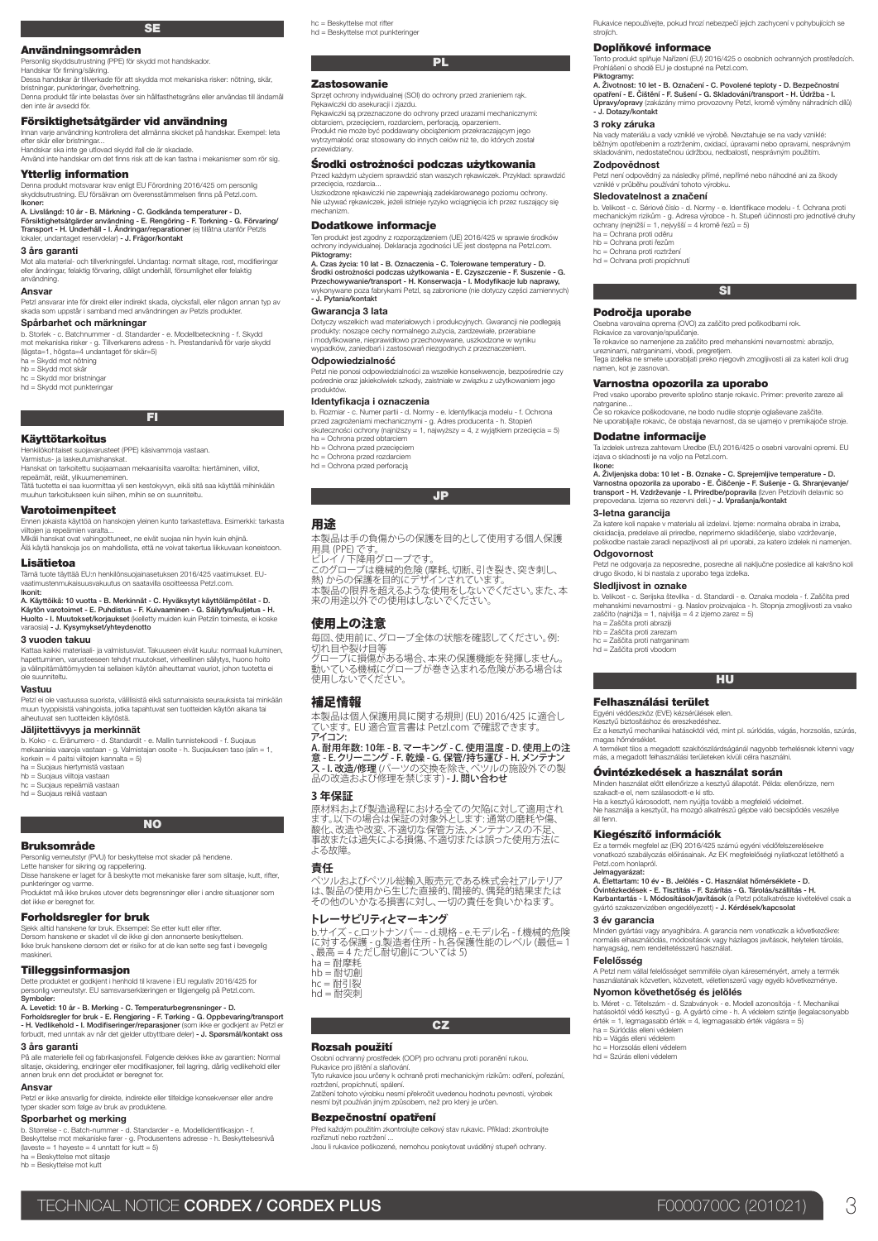# **SE**

Användningsområden

Personlig skyddsutrustning (PPE) för skydd mot handskador. Handskar för firning/säkring. Dessa handskar är tillverkade för att skydda mot mekaniska risker: nötning, skär,

bristningar, punkteringar, överhettning. Denna produkt får inte belastas över sin hållfasthetsgräns eller användas till ändamål

# Försiktighetsåtgärder vid användning

Innan varje användning kontrollera det allmänna skicket på handskar. Exempel: leta efter skär eller bristningar... Handskar ska inte ge utlovad skydd ifall de är skadade.

Använd inte handskar om det finns risk att de kan fastna i mekanismer som rör sig.

# Ytterlig information

den inte är avsedd för.

Denna produkt motsvarar krav enligt EU Förordning 2016/425 om personlig skyddsutrustning. EU försäkran om överensstämmelsen finns på Petzl.com. Ikoner: A. Livslängd: 10 år - B. Märkning - C. Godkända temperaturer - D.<br>Försiktighetsåtgärder användning - E. Rengöring - F. Torkning - G. Förvaring/<br>Transport - H. Underhåll - I. Ändringar/reparationer (ej tillåtna utanför Petz

#### 3 års garanti

Mot alla material- och tillverkningsfel. Undantag: normalt slitage, rost, modifieringar eller ändringar, felaktig förvaring, dåligt underhåll, försumlighet eller felaktig användning.

#### Ansvar

Petzl ansvarar inte för direkt eller indirekt skada, olycksfall, eller någon annan typ av skada som uppstår i samband med användningen av Petzls produkter.

#### Spårbarhet och märkningar

lokaler, undantaget reservdelar) - J. Frågor/kontakt

b. Storlek - c. Batchnummer - d. Standarder - e. Modellbeteckning - f. Skydd mot mekaniska risker - g. Tillverkarens adress - h. Prestandanivå för varje skydd (lägsta=1, högsta=4 undantaget för skär=5)

ha = Skydd mot nötning hb = Skydd mot skär

 $hc = Skvdd$  mor bristningar

hd = Skydd mot punkteringar

# FI

#### Käyttötarkoitus

Henkilökohtaiset suojavarusteet (PPE) käsivammoja vastaan. Varmistus- ja laskeutumishanskat. Hanskat on tarkoitettu suojaamaan mekaanisilta vaaroilta: hiertäminen, viillot,

repeämät, reiät, ylikuumeneminen. Tätä tuotetta ei saa kuormittaa yli sen kestokyvyn, eikä sitä saa käyttää mihinkään muuhun tarkoitukseen kuin siihen, mihin se on suunniteltu.

#### Varotoimenpiteet

Ennen jokaista käyttöä on hanskojen yleinen kunto tarkastettava. Esimerkki: tarkasta viiltojen ja repeämien varalta...

viiitojen ja repeamien varaita...<br>Mikäli hanskat ovat vahingoittuneet, ne eivät suojaa niin hyvin kuin ehjinä. Älä käytä hanskoja jos on mahdollista, että ne voivat takertua liikkuvaan koneistoon.

 $\tt Lisätietoa$ <br>Tämä tuote täyttää EU:n henkilönsuojainasetuksen 2016/425 vaatimukset. EU-<br>vaatimustenmukaisuusvakuutus on saatavilla osoitteessa Petzl.com.<br>Ikonit:

# A. Käyttöikä: 10 vuotta - B. Merkinnät - C. Hyväksytyt käyttölämpötilat - D.<br>Käytön varotoimet - E. Puhdistus - F. Kuivaaminen - G. Säilytys/kuljetus - H.<br>Huolto - I. Muutokset/korjaukset (kielletty muiden kuin Petzlin toi varaosia) - J. Kysymykset/yhteydenotto

#### 3 vuoden takuu

Kattaa kaikki materiaali- ja valmistusviat. Takuuseen eivät kuulu: normaali kuluminen, hapettuminen, varusteeseen tehdyt muutokset, virheellinen säilytys, huono hoito ja välinpitämättömyyden tai sellaisen käytön aiheuttamat vauriot, johon tuotetta ei ole suunniteltu.

#### Vastuu

Petzl ei ole vastuussa suorista, välillisistä eikä satunnaisista seurauksista tai minkään muun tyyppisistä vahingoista, jotka tapahtuvat sen tuotteiden käytön aikana tai aiheutuvat sen tuotteiden käytöstä.

# Jäljitettävyys ja merkinnät

b. Koko - c. Eränumero - d. Standardit - e. Mallin tunnistekoodi - f. Suojaus mekaanisia vaaroja vastaan - g. Valmistajan osoite - h. Suojauksen taso (alin = 1, korkein = 4 paitsi viiltojen kannalta = 5)

ha = Suojaus hiertymistä vastaan

hb = Suojaus viiltoja vastaan hc = Suojaus repeämiä vastaan hd = Suojaus reikiä vastaan

NO

# Bruksområde

Personlig verneutstyr (PVU) for beskyttelse mot skader på hendene.<br>Lette hansker for sikring og rappellering.<br>Disse hanskene er laget for å beskytte mot mekaniske farer som slitasje, kutt, rifter,

punkteringer og varme. Produktet må ikke brukes utover dets begrensninger eller i andre situasjoner som det ikke er beregnet for.

### Forholdsregler for bruk

Sjekk alltid hanskene før bruk. Eksempel: Se etter kutt eller rifter.<br>Dersom hanskene er skadet vil de ikke gi den annonserte beskyttelsen.<br>Ikke bruk hanskene dersom det er risiko for at de kan sette seg fast i bevegelig maskineri.

### **Tilleggsinformasion**

Dette produktet er godkjent i henhold til kravene i EU regulativ 2016/425 for personlig verneutstyr. EU samsvarserklæringen er tilgjengelig på Petzl.com.

Symboler:<br>A. Levetid: 10 år - B. Merking - C. Temperaturbegrensninger - D.<br>Forholdsregler for bruk - E. Rengjøring - F. Tørking - G. Oppbevaring/transport<br>- H. Vedlikehold - I. Modiffiseringer/reparasjoner (som ikke er god

### 3 års garanti

På alle materielle feil og fabrikasjonsfeil. Følgende dekkes ikke av garantien: Normal slitasje, oksidering, endringer eller modifikasjoner, feil lagring, dårlig vedlikehold eller annen bruk enn det produktet er beregnet for.

# Ansvar

Petzl er ikke ansvarlig for direkte, indirekte eller tilfeldige konsekvenser eller andre typer skader som følge av bruk av produktene.

# Sporbarhet og merking

b. Størrelse - c. Batch-nummer - d. Standarder - e. Modellidentifikasjon - f. Beskyttelse mot mekaniske farer - g. Produsentens adresse - h. Beskyttelsesnivå  $($ laveste = 1 høyeste = 4 unntatt for kutt = 5) ha = Beskyttelse mot slitasje hb = Beskyttelse mot kutt

hc = Beskyttelse mot rifter hd = Beskyttelse mot punkteringer

# **PL**

### Zastosowanie

Sprzęt ochrony indywidualnej (SOI) do ochrony przed zranieniem rąk. Rękawiczki do asekuracji i zjazdu. Rękawiczki są przeznaczone do ochrony przed urazami mechanicznymi:

obtarciem, przecięciem, rozdarciem, perforacją, oparzeniem.<br>Produkt nie może być poddawany obciążeniom przekraczającym jego<br>wytrzymałość oraz stosowany do innych celów niż te, do których został Proud.<br>wytrzymałod.<br>Trewidziany.

# Środki ostrożności podczas użytkowania

Przed każdym użyciem sprawdzić stan waszych rękawiczek. Przykład: sprawdzić przecięcia, rozdarcia... Uszkodzone rękawiczki nie zapewniają zadeklarowanego poziomu ochrony. Nie używać rękawiczek, jeżeli istnieje ryzyko wciągnięcia ich przez ruszający się mechanizm.

# Dodatkowe informacje

Ten produkt jest zgodny z rozporządzeniem (UE) 2016/425 w sprawie środków ochrony indywidualnej. Deklaracja zgodności UE jest dostępna na Petzl.com. Piktogramy: A. Czas życia: 10 lat - B. Oznaczenia - C. Tolerowane temperatury - D.

Srodki ostrożności podczas użytkowania - E. Czyszczenie - F. Suszenie - G.<br>Przechowywanie/transport - H. Konserwacja - I. Modyfikacje lub naprawy,<br>wykonywane poza fabrykami Petzl, są zabronione (nie dotyczy części zamienny - J. Pytania/kontakt

#### Gwarancia 3 lata

Dotyczy wszelkich wad materiałowych i produkcyjnych. Gwarancji nie podlegają<br>produkty: noszące cechy normalnego zużycia, zardzewiałe, przerabiane<br>i modyfikowane, nieprawidłowo przechowywane, uszkodzone w wyniku<br>wypadków, z

# Odpowiedzialność

Petzl nie ponosi odpowiedzialności za wszelkie konsekwencje, bezpośrednie czy pośrednie oraz jakiekolwiek szkody, zaistniałe w związku z użytkowaniem jego produktów.

#### Identyfikacja i oznaczenia

b. Rozmiar - c. Numer partii - d. Normy - e. Identyfikacja modelu - f. Ochrona<br>przed zagroženiami mechanicznymi - g. Adres producenta - h. Stopień<br>skuteczności ochrony (najniższy = 1, najwyższy = 4, z wyjątkiem przecięcia ha = Ochrona przed obtarciem hb = Ochrona przed przecięciem

hc = Ochrona przed rozdarciem hd = Ochrona przed perforacją

#### JP

#### 用途

本製品は手の負傷からの保護を目的として使用する個人保護

用具 (PPE) です。<br>ビレイ / 下降用グローブです。<br>ビレイ / 下降用がローブです。<br>熱しからの保護を目的にデザインされています。<br>未処用途以外での使用はしないでください。<br>来の用途以外での使用はしないでください。

# 使用上の注意

毎回、使用前に、グローブ全体の状態を確認してください。例: 切れ目や裂け目等 グローブに損傷がある場合、本来の保護機能を発揮しません。

。<br>動いている機械にグローブが巻き込まれる危険がある場合は <sub>動いてし</sub>。。<br>使用しないでください。

### 補足情報

本製品は個人保護用具に関する規則 (EU) 2016/425 に適合し ています。 EU 適合宣言書は Petzl.com で確認できます。 アイコン:

# A. 耐用年数: 10年 - B. マーキング - C. 使用温度 - D. 使用上の注<br>意 - E. クリーニング - F. 乾燥 - G. 保管/持ち運び - H. メンテナン<br>ス - I. 改造/修理 / ヾーツの交換を除き、ペツルの施設外での製<br>品の改造および修理を禁じます) - J. 問い合わせ

**3 年保証**

原材料および製造過程における全ての欠陥に対して適用され ます。以下の場合は保証の対象外とします: 通常の磨耗や傷、 酸化、改造や改変、不適切な保管方法、メンテナンスの不足、 事故または過失による損傷、不適切または誤った使用方法に よる故障

#### **責任**

ペツルおよびペツル総輸入販売元である株式会社アルテリア は、製品の使用から生じた直接的、間接的、偶発的結果または その他のいかなる損害に対し、一切の責任を負いかねます。

### **トレーサビリティとマーキング**

b.サイズ - c.ロットナンバー - d.規格 - e.モデル名 - f.機械的危険 に対する保護 - g.製造者住所 - h.各保護性能のレベル (最低= 1 、最高 = 4 ただし耐切創については 5)

ha = 耐摩耗 hb = 耐切創 hc = 耐引裂

 $hd =$ 耐突刺

# **CZ**

# Rozsah použití

Osobní ochranný prostředek (OOP) pro ochranu proti poranění rukou. Rukavice pro jištění a slaňování. Tyto rukavice jsou určeny k ochraně proti mechanickým rizikům: odření, pořezání,

roztržení, propíchnutí, spálení.

Zatížení tohoto výrobku nesmí překročit uvedenou hodnotu pevnosti, výrobek nesmí být používán jiným způsobem, než pro který je určen.

# Bezpečnostní opatření

Před každým použitím zkontrolujte celkový stav rukavic. Příklad: zkontrolujte<br>rozříznutí nebo roztržení ...<br>Jsou li rukavice poškozené, nemohou poskytovat uváděný stupeň ochrany.

TECHNICAL NOTICE CORDEX / CORDEX PLUS FOOD TO THE RESERVED TO THE RESERVED TO THE RESERVED OF A SECOND THE ST

Rukavice nepoužívejte, pokud hrozí nebezpečí jejich zachycení v pohybujících se strojích.

Tento produkt splňuje Nařízení (EU) 2016/425 o osobních ochranných prostředcích. Prohlášení o shodě EU je dostupné na Petzl.com.

A. Životnost: 10 let - B. Označení - C. Povolené teploty - D. Bezpečnostní<br>opatření - E. Čištění - F. Sušení - G. Skladování/transport - H. Údržba - I.<br>Úpravy/opravy (zakázány mimo provozovny Petzl, kromě výměny náhradních

Na vady materiálu a vady vzniklé ve výrobě. Nevztahuje se na vady vzniklé;<br>běžným opotřebením a roztržením, oxidací, úpravami nebo opravami, nesprávným<br>skladováním, nedostatečnou údržbou, nedbalostí, nesprávným použitím.

b. Velikost - c. Sériové číslo - d. Normy - e. Identifikace modelu - f. Ochrana proti<br>mechanickým rizikům - g. Adresa výrobce - h. Stupeň účinnosti pro jednotlivé druhy<br>ochrany (nejnižší = 1, nejvyšší = 4 kromě řezů = 5)

SI

Te rokavice so namenjene za zaščito pred mehanskimi nevarnostmi: abrazijo,<br>urezninami, natrganinami, vbodi, pregretjem.<br>Tega izdelka ne smete uporabljati preko njegovih zmogljivosti ali za kateri koli drug<br>namen, kot je za

Pred vsako uporabo preverite splošno stanje rokavic. Primer: preverite zareze ali natrganine... Če so rokavice poškodovane, ne bodo nudile stopnje oglaševane zaščite. Ne uporabljajte rokavic, če obstaja nevarnost, da se ujamejo v premikajoče stroje.

Ta izdelek ustreza zahtevam Uredbe (EU) 2016/425 o osebni varovalni opremi. EU

lkone:<br>A. Življenjska doba: 10 let - B. Oznake - C. Sprejemljive temperature - D.<br>Varnostna opozorila za uporabo - E. Čiščenje - F. Sušenje - G. Shranjevanje,<br>transport - H. Vzdrževanje - I. Priredbe/popravila (⊠ven Petzl

Za katere koli napake v materialu ali izdelavi. Izjeme: normalna obraba in izraba,<br>oksidacija, predelave ali priredbe, neprimerno skladiščenje, slabo vzdrževanje,<br>poškodbe nastale zaradi nepazljivosti ali pri uporabi, za k

Petzl ne odgovarja za neposredne, posredne ali naključne posledice ali kakršno koli drugo škodo, ki bi nastala z uporabo tega izdelka.

b. Velikost - c. Serijska številka - d. Standardi - e. Oznaka modela - f. Zaščita pred mehanskimi nevarnostmi - g. Naslov proizvajalca - h. Stopnja zmogljivosti za vsako

**HU** 

Ez a kesztyű mechanikai hatásoktól véd, mint pl. súrlódás, vágás, horzsolás, szúrás, magas hőmérséklet.<br>A terméket tilos a megadott szakítószilárdságánál nagyobb terhelésnek kitenni vagy<br>más, a megadott felhasználási területeken kívüli célra használni.

Minden használat előtt ellenőrizze a kesztyű állapotát. Példa: ellenőrizze, nem<br>szakadt-e el, nem szálasodott-e ki stb.<br>Ha a kesztyű károsodott, nem nyújtja tovább a megfelelő védelmet.<br>Ne használja a kesztyűt, ha mozgó al

Ez a termék megfelel az (EK) 2016/425 számú egyéni védőfelszerelésekre vonatkozó szabályozás előírásainak. Az EK megfelelőségi nyilatkozat letölthető a

Jelmagyarázat:<br>A. Élettartam: 10 év - B. Jelölés - C. Használat hőmérséklete - D.<br>Óvintézkedések - E. Tisztítás - F. Szárítás - G. Tárolás/szállítás - H.<br>Karbantartás - I. Módosítások/javítások (a Petzl pótalkatrésze kivé

Minden gyártási vagy anyaghibára. A garancia nem vonatkozik a következőkre: normális elhasználódás, módosítások vagy házilagos javítások, helytelen tárolás, hanyagság, nem rendeltetésszerű használat.

A Petzl nem vállal felelősséget semmiféle olyan káreseményért, amely a termék használatának közvetlen, közvetett, véletlenszerű vagy egyéb következménye.

b. Méret - c. Tételszám - d. Szabványok - e. Modell azonosítója - f. Mechanikai<br>hatásoktól védő kesztyű - g. A gyártó címe - h. A védelem szintje (legalacsonyabb<br>érték = 1, legnagasabb érték = 4, legmagasabb érték vágásra

Óvintézkedések a használat során

gyártó szakszervizében engedélyezett) - J. Kérdések/kapcsolat

Nyomon követhetőség és jelölés

Osebna varovalna oprema (OVO) za zaščito pred poškodbami rok. Rokavice za varovanje/spuščanje.

Varnostna opozorila za uporabo

Petzl není odpovědný za následky přímé, nepřímé nebo náhodné ani za škody

Doplňkové informace

vzniklé v průběhu používání tohoto výrobku. Sledovatelnost a značení

Piktogramy:

3 roky záruka

Zodpovědnost

ha = Ochrana proti oděru hb = Ochrana proti řezům hc = Ochrana proti roztržení hd = Ochrana proti propíchnutí

Področja uporabe

Dodatne informacije

3-letna garancija

**Odgovornost** 

Sledljivost in oznake

Felhasználási terület Egyéni védőeszköz (EVE) kézsérülések ellen. Kesztyű biztosításhoz és ereszkedéshez.

Kiegészítő információk

Petzl.com honlapról.

3 év garancia

Felelősség

hb = Vágás elleni védelem hc = Horzsolás elleni védelem hd = Szúrás elleni védelem

ha = Zaščita proti abraziji hb = Zaščita proti zarezam hc = Zaščita proti natrganinam hd = Zaščita proti vbodom

zaščito (najnižja = 1, najvišja = 4 z izjemo zarez = 5)

izjava o skladnosti je na voljo na Petzl.com.